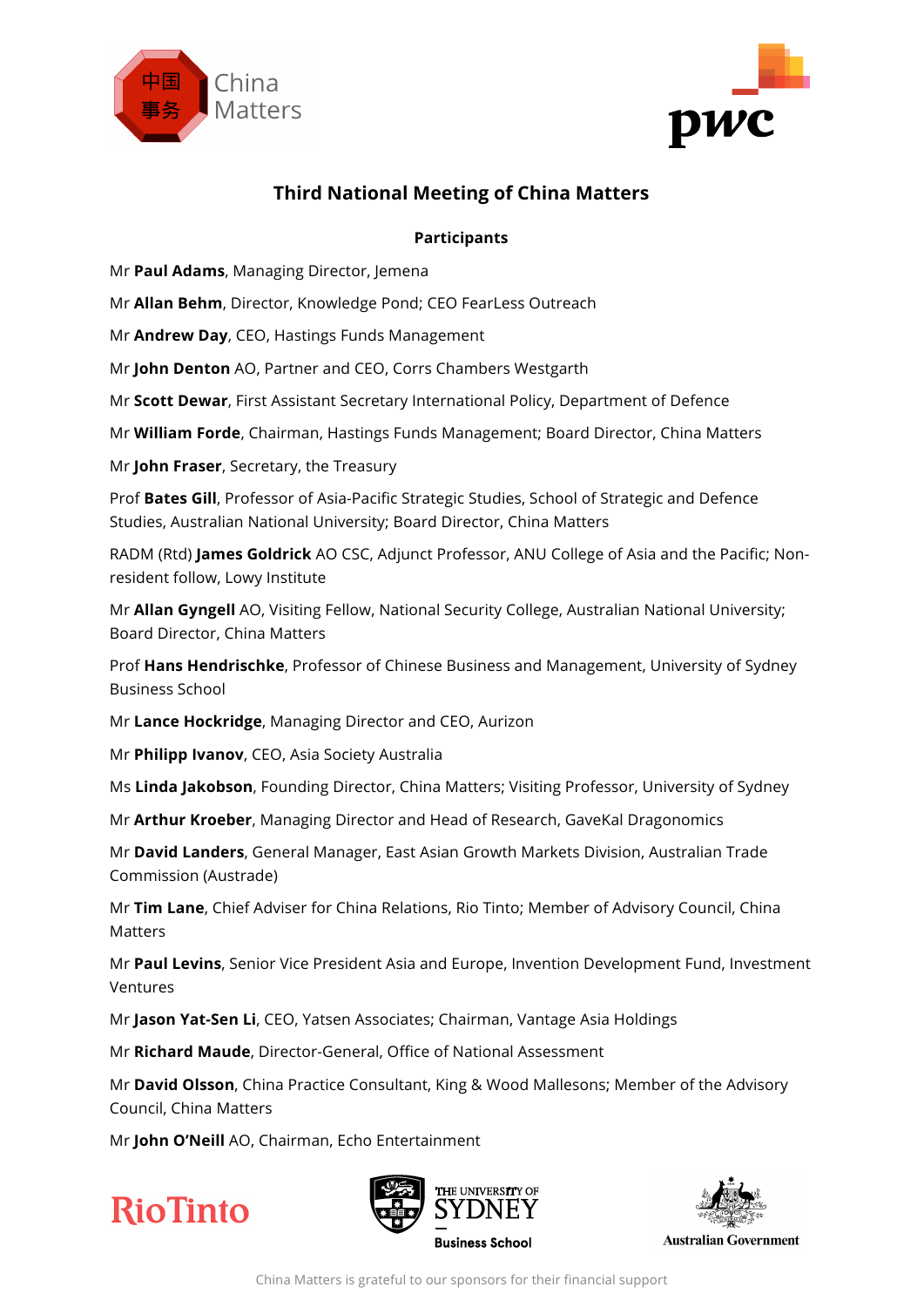



# **Third National Meeting of China Matters**

# **Participants**

Mr **Paul Adams**, Managing Director, Jemena

Mr **Allan Behm**, Director, Knowledge Pond; CEO FearLess Outreach

Mr **Andrew Day**, CEO, Hastings Funds Management

Mr **John Denton** AO, Partner and CEO, Corrs Chambers Westgarth

Mr **Scott Dewar**, First Assistant Secretary International Policy, Department of Defence

Mr **William Forde**, Chairman, Hastings Funds Management; Board Director, China Matters

Mr **John Fraser**, Secretary, the Treasury

Prof **Bates Gill**, Professor of Asia-Pacific Strategic Studies, School of Strategic and Defence Studies, Australian National University; Board Director, China Matters

RADM (Rtd) **James Goldrick** AO CSC, Adjunct Professor, ANU College of Asia and the Pacific; Nonresident follow, Lowy Institute

Mr **Allan Gyngell** AO, Visiting Fellow, National Security College, Australian National University; Board Director, China Matters

Prof **Hans Hendrischke**, Professor of Chinese Business and Management, University of Sydney Business School

Mr **Lance Hockridge**, Managing Director and CEO, Aurizon

Mr **Philipp Ivanov**, CEO, Asia Society Australia

Ms **Linda Jakobson**, Founding Director, China Matters; Visiting Professor, University of Sydney

Mr **Arthur Kroeber**, Managing Director and Head of Research, GaveKal Dragonomics

Mr **David Landers**, General Manager, East Asian Growth Markets Division, Australian Trade Commission (Austrade)

Mr **Tim Lane**, Chief Adviser for China Relations, Rio Tinto; Member of Advisory Council, China Matters

Mr **Paul Levins**, Senior Vice President Asia and Europe, Invention Development Fund, Investment Ventures

Mr **Jason Yat-Sen Li**, CEO, Yatsen Associates; Chairman, Vantage Asia Holdings

Mr **Richard Maude**, Director-General, Office of National Assessment

Mr **David Olsson**, China Practice Consultant, King & Wood Mallesons; Member of the Advisory Council, China Matters

Mr **John O'Neill** AO, Chairman, Echo Entertainment







**Australian Government**